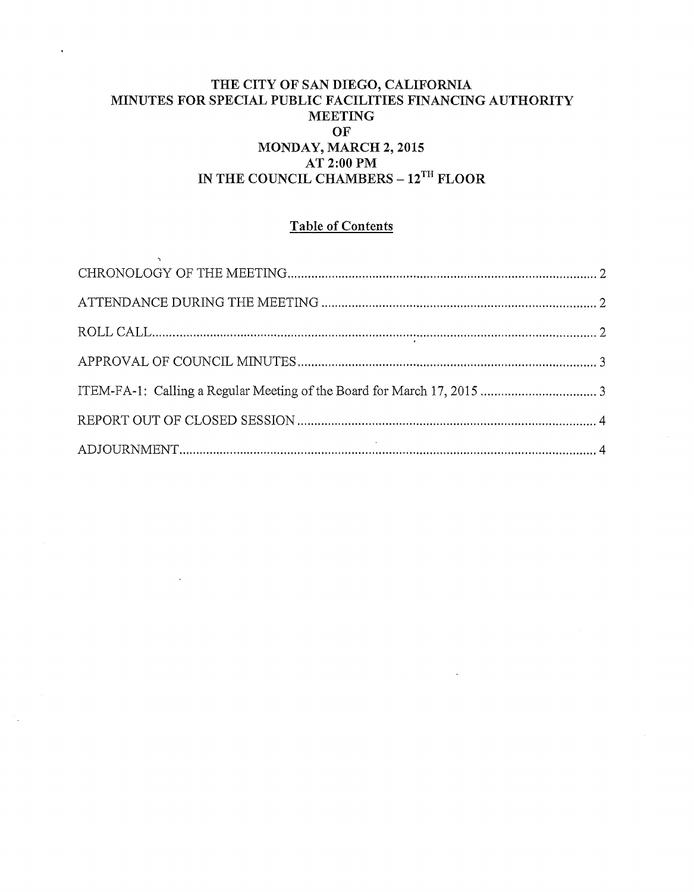# THE CITY OF SAN DIEGO, CALIFORNIA MINUTES FOR SPECIAL PUBLIC FACILITIES FINANCING AUTHORITY :MEETING OF MONDAY, MARCH 2, 2015 AT 2:00PM IN THE COUNCIL CHAMBERS - 12<sup>TH</sup> FLOOR

# Table of Contents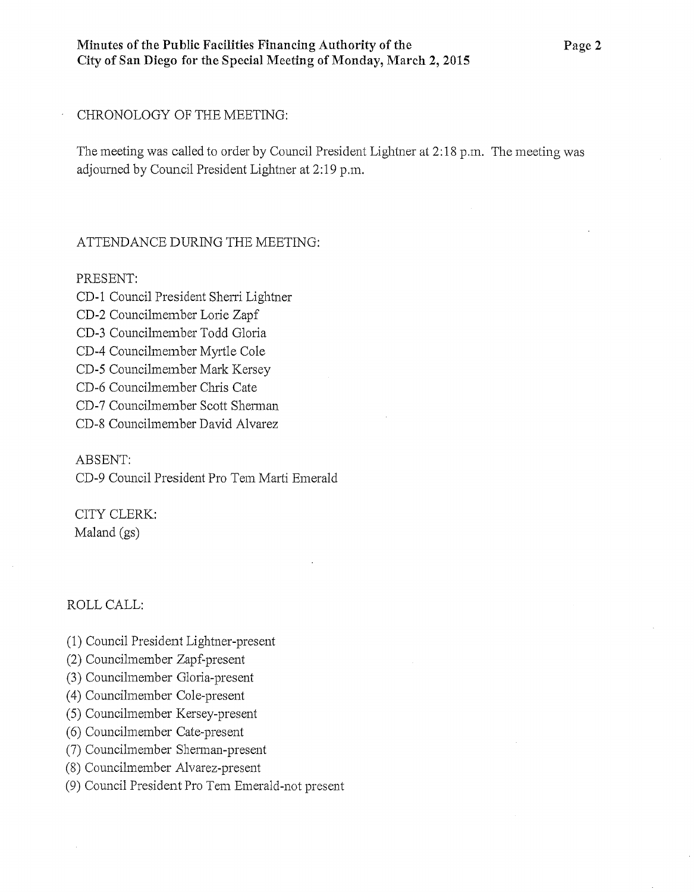#### CHRONOLOGY OF THE MEETING:

The meeting was called to order by Council President Lightner at 2: 18 p.m. The meeting was adjourned by Council President Lightner at 2:19 p.m.

#### ATTENDANCE DURING THE MEETING:

#### PRESENT:

- CD-1 Council President Sherri Lightner
- CD-2 Councilmember Lorie Zapf
- CD-3 Councilmember Todd Glotia
- CD-4 Councilmember Myrtle Cole
- CD-5 Councilmember Mark Kersey
- CD-6 Councilmember Chris Cate
- CD-7 Councilmember Scott Sherman
- CD-8 Councilmember David Alvarez

# ABSENT:

CD-9 Council President Pro Tem Marti Emerald

CITY CLERK: Maland (gs)

# ROLLCALL:

- (1) Council President Lightner-present
- (2) Councilmember Zapf-present
- (3) Councilmember Gloria-present
- ( 4) Councilmember Cole-present
- (5) Councilmember Kersey-present
- (6) Councilmember Cate-present
- (7) Councilmember Sherman-present
- (8) Councilmember Alvarez-present
- (9) Council President Pro Tem Emerald-not present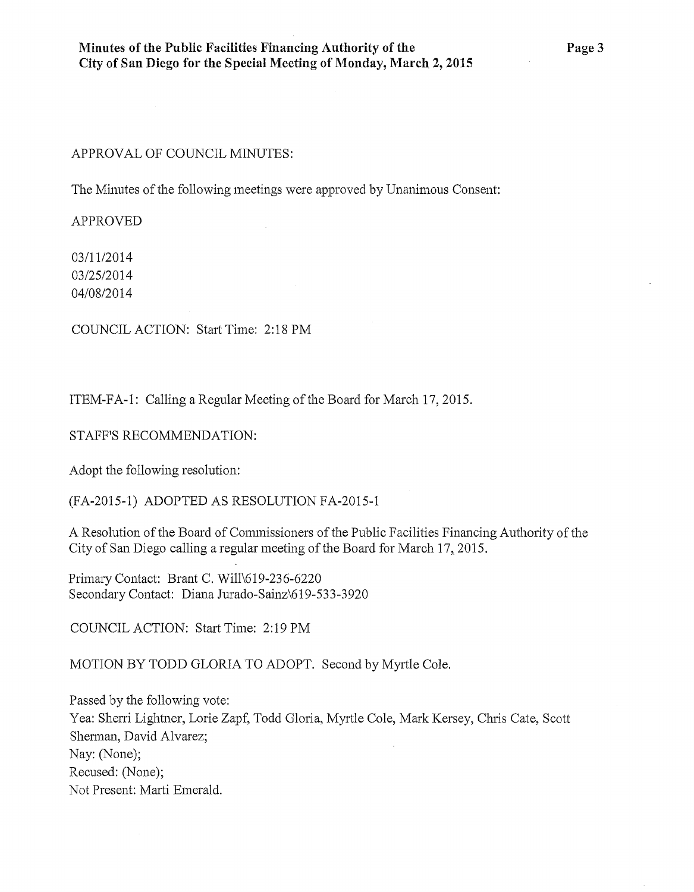#### APPROVAL OF COUNCIL MINUTES:

The Minutes of the following meetings were approved by Unanimous Consent:

APPROVED

03/11/2014 03/25/2014 04/08/2014

COUNCIL ACTION: Start Time: 2:18 PM

ITEM-FA-1: Calling a Regular Meeting of the Board for March 17, 2015.

STAFF'S RECOMMENDATION:

Adopt the following resolution:

(FA-2015-1) ADOPTED AS RESOLUTION FA-2015-1

A Resolution of the Board of Commissioners of the Public Facilities Financing Authority of the City of San Diego calling a regular meeting of the Board for March 17, 2015.

Primary Contact: Brant C. Will\619-236-6220 Secondary Contact: Diana Jurado-Sainz\619-533-3920

COUNCIL ACTION: Start Time: 2:19 PM

MOTION BY TODD GLORIA TO ADOPT. Second by Myrtle Cole.

Passed by the following vote: Yea: Sherri Lightner, Lorie Zapf, Todd Gloria, Myrtle Cole, Mark Kersey, Chris Cate, Scott Sherman, David Alvarez; Nay: (None); Recused: (None); Not Present: Marti Emerald.